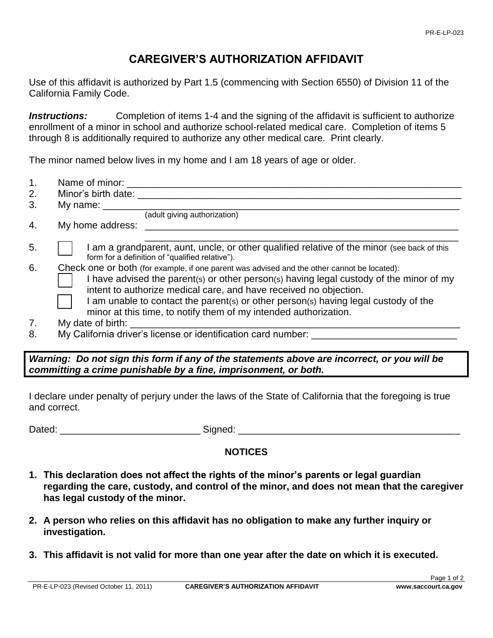## **CAREGIVER'S AUTHORIZATION AFFIDAVIT**

Use of this affidavit is authorized by Part 1.5 (commencing with Section 6550) of Division 11 of the California Family Code.

**Instructions:** Completion of items 1-4 and the signing of the affidavit is sufficient to authorize enrollment of a minor in school and authorize school-related medical care. Completion of items 5 through 8 is additionally required to authorize any other medical care. Print clearly.

The minor named below lives in my home and I am 18 years of age or older.

| 1. | Name of minor:                                                                                                                                                                                                                                                                                                                                                                                                         |
|----|------------------------------------------------------------------------------------------------------------------------------------------------------------------------------------------------------------------------------------------------------------------------------------------------------------------------------------------------------------------------------------------------------------------------|
| 2. | Minor's birth date:                                                                                                                                                                                                                                                                                                                                                                                                    |
| 3. | My name: $\_\_$                                                                                                                                                                                                                                                                                                                                                                                                        |
|    | (adult giving authorization)                                                                                                                                                                                                                                                                                                                                                                                           |
| 4. | My home address:                                                                                                                                                                                                                                                                                                                                                                                                       |
| 5. | I am a grandparent, aunt, uncle, or other qualified relative of the minor (see back of this<br>form for a definition of "qualified relative").                                                                                                                                                                                                                                                                         |
| 6. | Check one or both (for example, if one parent was advised and the other cannot be located):<br>I have advised the parent(s) or other person(s) having legal custody of the minor of my<br>intent to authorize medical care, and have received no objection.<br>I am unable to contact the parent(s) or other person(s) having legal custody of the<br>minor at this time, to notify them of my intended authorization. |
| 7. | My date of birth:                                                                                                                                                                                                                                                                                                                                                                                                      |
| 8. | My California driver's license or identification card number:                                                                                                                                                                                                                                                                                                                                                          |
|    |                                                                                                                                                                                                                                                                                                                                                                                                                        |

*Warning: Do not sign this form if any of the statements above are incorrect, or you will be committing a crime punishable by a fine, imprisonment, or both.*

I declare under penalty of perjury under the laws of the State of California that the foregoing is true and correct.

Dated: \_\_\_\_\_\_\_\_\_\_\_\_\_\_\_\_\_\_\_\_\_\_\_\_\_\_ Signed: \_\_\_\_\_\_\_\_\_\_\_\_\_\_\_\_\_\_\_\_\_\_\_\_\_\_\_\_\_\_\_\_\_\_\_\_\_\_\_\_\_

#### **NOTICES**

- **1. This declaration does not affect the rights of the minor's parents or legal guardian regarding the care, custody, and control of the minor, and does not mean that the caregiver has legal custody of the minor.**
- **2. A person who relies on this affidavit has no obligation to make any further inquiry or investigation.**
- **3. This affidavit is not valid for more than one year after the date on which it is executed.**